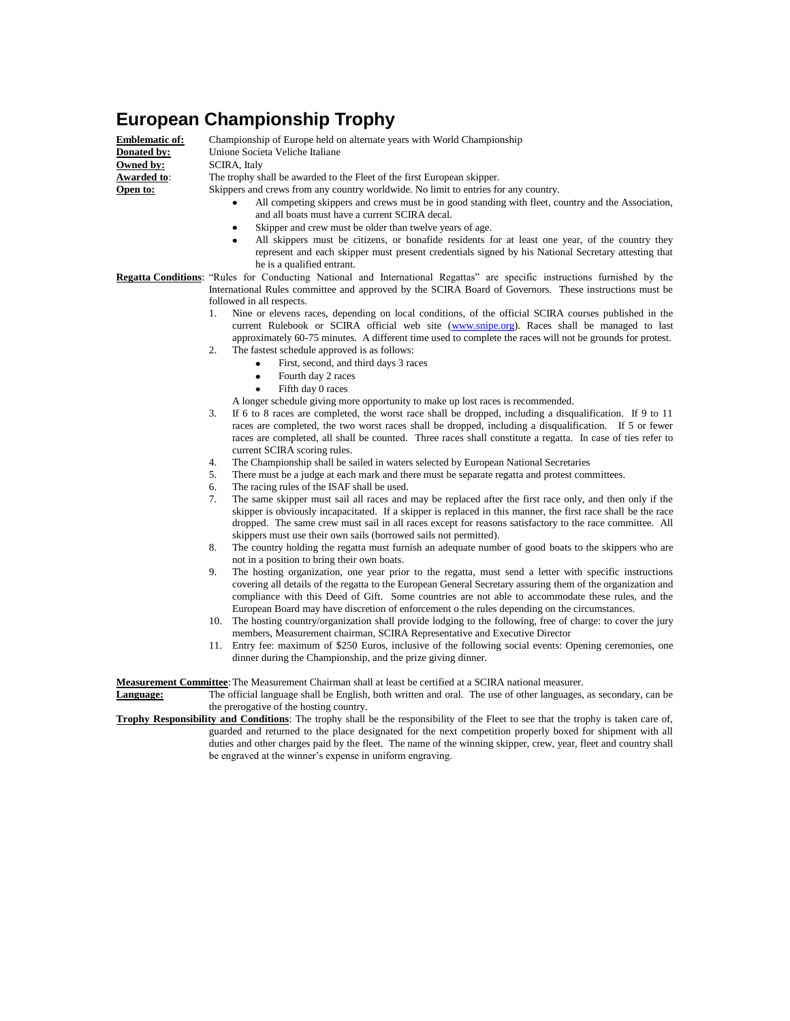## **European Championship Trophy**

**Owned by:** SCIRA, Italy<br>**Awarded to**: The trophy sl

**Emblematic of:** Championship of Europe held on alternate years with World Championship **Donated by:** Unione Societa Veliche Italiane The trophy shall be awarded to the Fleet of the first European skipper. **Open to:** Skippers and crews from any country worldwide. No limit to entries for any country.

- All competing skippers and crews must be in good standing with fleet, country and the Association, and all boats must have a current SCIRA decal.
- Skipper and crew must be older than twelve years of age.
- All skippers must be citizens, or bonafide residents for at least one year, of the country they represent and each skipper must present credentials signed by his National Secretary attesting that he is a qualified entrant.

**Regatta Conditions**: "Rules for Conducting National and International Regattas" are specific instructions furnished by the International Rules committee and approved by the SCIRA Board of Governors. These instructions must be followed in all respects.

- 1. Nine or elevens races, depending on local conditions, of the official SCIRA courses published in the current Rulebook or SCIRA official web site [\(www.snipe.org\)](http://www.snipe.org/). Races shall be managed to last approximately 60-75 minutes. A different time used to complete the races will not be grounds for protest.
	- The fastest schedule approved is as follows:
		- First, second, and third days 3 races  $\bullet$
		- Fourth day 2 races
		- Fifth day 0 races  $\bullet$
	- A longer schedule giving more opportunity to make up lost races is recommended.
- 3. If 6 to 8 races are completed, the worst race shall be dropped, including a disqualification. If 9 to 11 races are completed, the two worst races shall be dropped, including a disqualification. If 5 or fewer races are completed, all shall be counted. Three races shall constitute a regatta. In case of ties refer to current SCIRA scoring rules.
- 4. The Championship shall be sailed in waters selected by European National Secretaries
- 5. There must be a judge at each mark and there must be separate regatta and protest committees.
- 6. The racing rules of the ISAF shall be used.
- 7. The same skipper must sail all races and may be replaced after the first race only, and then only if the skipper is obviously incapacitated. If a skipper is replaced in this manner, the first race shall be the race dropped. The same crew must sail in all races except for reasons satisfactory to the race committee. All skippers must use their own sails (borrowed sails not permitted).
- 8. The country holding the regatta must furnish an adequate number of good boats to the skippers who are not in a position to bring their own boats.
- 9. The hosting organization, one year prior to the regatta, must send a letter with specific instructions covering all details of the regatta to the European General Secretary assuring them of the organization and compliance with this Deed of Gift. Some countries are not able to accommodate these rules, and the European Board may have discretion of enforcement o the rules depending on the circumstances.
- 10. The hosting country/organization shall provide lodging to the following, free of charge: to cover the jury members, Measurement chairman, SCIRA Representative and Executive Director
- 11. Entry fee: maximum of \$250 Euros, inclusive of the following social events: Opening ceremonies, one dinner during the Championship, and the prize giving dinner.

**Measurement Committee**:The Measurement Chairman shall at least be certified at a SCIRA national measurer.

**Language:** The official language shall be English, both written and oral. The use of other languages, as secondary, can be the prerogative of the hosting country.

**Trophy Responsibility and Conditions**: The trophy shall be the responsibility of the Fleet to see that the trophy is taken care of, guarded and returned to the place designated for the next competition properly boxed for shipment with all duties and other charges paid by the fleet. The name of the winning skipper, crew, year, fleet and country shall be engraved at the winner's expense in uniform engraving.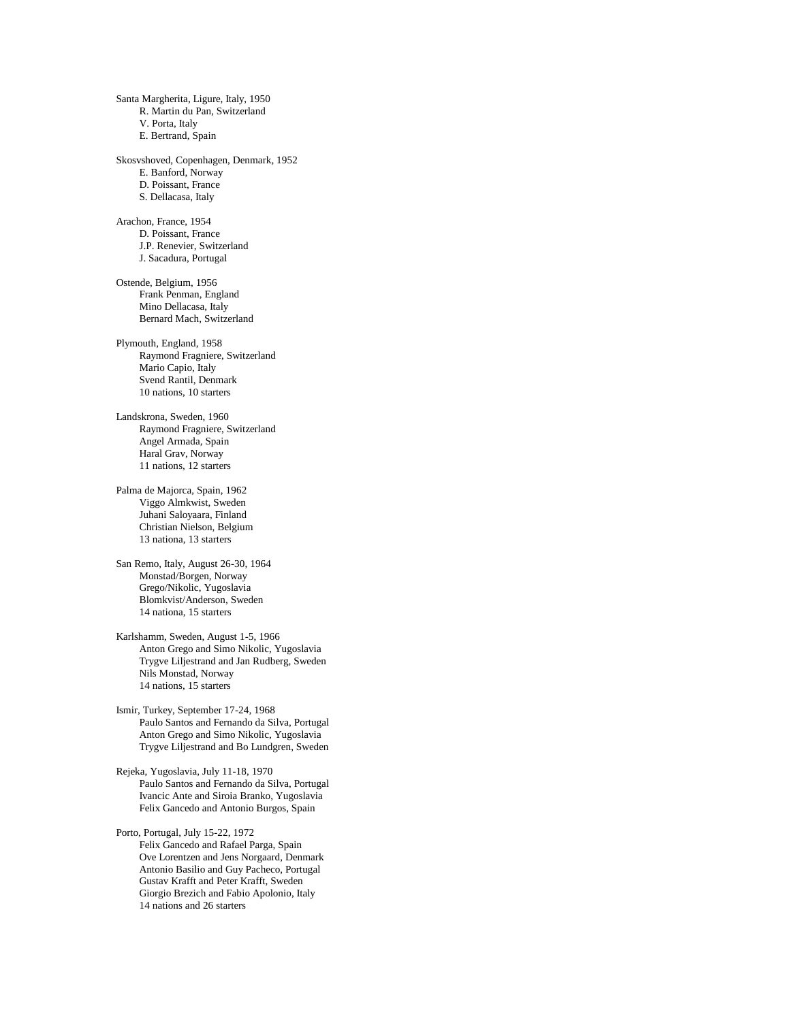Santa Margherita, Ligure, Italy, 1950 R. Martin du Pan, Switzerland V. Porta, Italy E. Bertrand, Spain Skosvshoved, Copenhagen, Denmark, 1952 E. Banford, Norway D. Poissant, France S. Dellacasa, Italy Arachon, France, 1954 D. Poissant, France J.P. Renevier, Switzerland J. Sacadura, Portugal Ostende, Belgium, 1956 Frank Penman, England Mino Dellacasa, Italy Bernard Mach, Switzerland Plymouth, England, 1958 Raymond Fragniere, Switzerland Mario Capio, Italy Svend Rantil, Denmark 10 nations, 10 starters Landskrona, Sweden, 1960 Raymond Fragniere, Switzerland Angel Armada, Spain Haral Grav, Norway 11 nations, 12 starters Palma de Majorca, Spain, 1962 Viggo Almkwist, Sweden Juhani Saloyaara, Finland Christian Nielson, Belgium 13 nationa, 13 starters San Remo, Italy, August 26-30, 1964 Monstad/Borgen, Norway Grego/Nikolic, Yugoslavia Blomkvist/Anderson, Sweden 14 nationa, 15 starters Karlshamm, Sweden, August 1-5, 1966 Anton Grego and Simo Nikolic, Yugoslavia Trygve Liljestrand and Jan Rudberg, Sweden Nils Monstad, Norway 14 nations, 15 starters Ismir, Turkey, September 17-24, 1968 Paulo Santos and Fernando da Silva, Portugal Anton Grego and Simo Nikolic, Yugoslavia Trygve Liljestrand and Bo Lundgren, Sweden Rejeka, Yugoslavia, July 11-18, 1970 Paulo Santos and Fernando da Silva, Portugal Ivancic Ante and Siroia Branko, Yugoslavia Felix Gancedo and Antonio Burgos, Spain Porto, Portugal, July 15-22, 1972 Felix Gancedo and Rafael Parga, Spain Ove Lorentzen and Jens Norgaard, Denmark Antonio Basilio and Guy Pacheco, Portugal Gustav Krafft and Peter Krafft, Sweden Giorgio Brezich and Fabio Apolonio, Italy

14 nations and 26 starters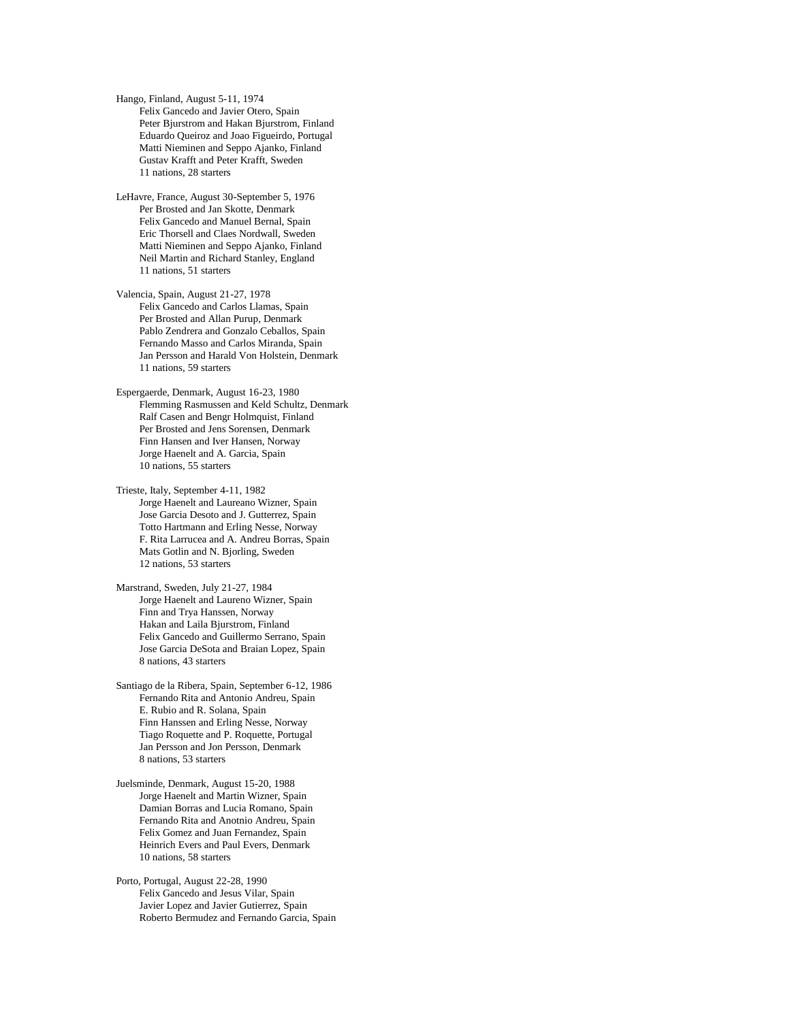Hango, Finland, August 5-11, 1974 Felix Gancedo and Javier Otero, Spain Peter Bjurstrom and Hakan Bjurstrom, Finland Eduardo Queiroz and Joao Figueirdo, Portugal Matti Nieminen and Seppo Ajanko, Finland Gustav Krafft and Peter Krafft, Sweden 11 nations, 28 starters

LeHavre, France, August 30-September 5, 1976 Per Brosted and Jan Skotte, Denmark Felix Gancedo and Manuel Bernal, Spain Eric Thorsell and Claes Nordwall, Sweden Matti Nieminen and Seppo Ajanko, Finland Neil Martin and Richard Stanley, England 11 nations, 51 starters

Valencia, Spain, August 21-27, 1978 Felix Gancedo and Carlos Llamas, Spain Per Brosted and Allan Purup, Denmark Pablo Zendrera and Gonzalo Ceballos, Spain Fernando Masso and Carlos Miranda, Spain Jan Persson and Harald Von Holstein, Denmark 11 nations, 59 starters

Espergaerde, Denmark, August 16-23, 1980 Flemming Rasmussen and Keld Schultz, Denmark Ralf Casen and Bengr Holmquist, Finland Per Brosted and Jens Sorensen, Denmark Finn Hansen and Iver Hansen, Norway Jorge Haenelt and A. Garcia, Spain 10 nations, 55 starters

Trieste, Italy, September 4-11, 1982 Jorge Haenelt and Laureano Wizner, Spain Jose Garcia Desoto and J. Gutterrez, Spain Totto Hartmann and Erling Nesse, Norway F. Rita Larrucea and A. Andreu Borras, Spain Mats Gotlin and N. Bjorling, Sweden 12 nations, 53 starters

Marstrand, Sweden, July 21-27, 1984 Jorge Haenelt and Laureno Wizner, Spain Finn and Trya Hanssen, Norway Hakan and Laila Bjurstrom, Finland Felix Gancedo and Guillermo Serrano, Spain Jose Garcia DeSota and Braian Lopez, Spain 8 nations, 43 starters

Santiago de la Ribera, Spain, September 6-12, 1986 Fernando Rita and Antonio Andreu, Spain E. Rubio and R. Solana, Spain Finn Hanssen and Erling Nesse, Norway Tiago Roquette and P. Roquette, Portugal Jan Persson and Jon Persson, Denmark 8 nations, 53 starters

Juelsminde, Denmark, August 15-20, 1988 Jorge Haenelt and Martin Wizner, Spain Damian Borras and Lucia Romano, Spain Fernando Rita and Anotnio Andreu, Spain Felix Gomez and Juan Fernandez, Spain Heinrich Evers and Paul Evers, Denmark 10 nations, 58 starters

Porto, Portugal, August 22-28, 1990 Felix Gancedo and Jesus Vilar, Spain Javier Lopez and Javier Gutierrez, Spain Roberto Bermudez and Fernando Garcia, Spain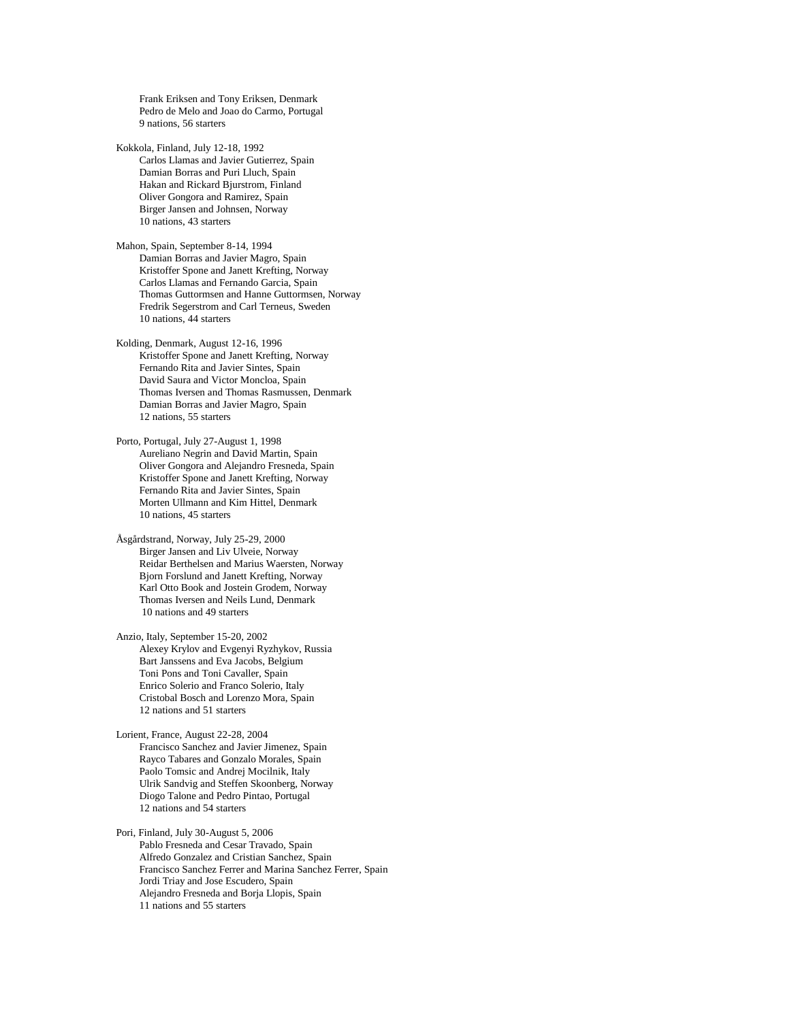Frank Eriksen and Tony Eriksen, Denmark Pedro de Melo and Joao do Carmo, Portugal 9 nations, 56 starters

Kokkola, Finland, July 12-18, 1992 Carlos Llamas and Javier Gutierrez, Spain Damian Borras and Puri Lluch, Spain Hakan and Rickard Bjurstrom, Finland Oliver Gongora and Ramirez, Spain Birger Jansen and Johnsen, Norway 10 nations, 43 starters

Mahon, Spain, September 8-14, 1994 Damian Borras and Javier Magro, Spain Kristoffer Spone and Janett Krefting, Norway Carlos Llamas and Fernando Garcia, Spain Thomas Guttormsen and Hanne Guttormsen, Norway Fredrik Segerstrom and Carl Terneus, Sweden 10 nations, 44 starters

Kolding, Denmark, August 12-16, 1996 Kristoffer Spone and Janett Krefting, Norway Fernando Rita and Javier Sintes, Spain David Saura and Victor Moncloa, Spain Thomas Iversen and Thomas Rasmussen, Denmark Damian Borras and Javier Magro, Spain 12 nations, 55 starters

Porto, Portugal, July 27-August 1, 1998 Aureliano Negrin and David Martin, Spain Oliver Gongora and Alejandro Fresneda, Spain Kristoffer Spone and Janett Krefting, Norway Fernando Rita and Javier Sintes, Spain Morten Ullmann and Kim Hittel, Denmark 10 nations, 45 starters

Åsgårdstrand, Norway, July 25-29, 2000 Birger Jansen and Liv Ulveie, Norway Reidar Berthelsen and Marius Waersten, Norway Bjorn Forslund and Janett Krefting, Norway Karl Otto Book and Jostein Grodem, Norway Thomas Iversen and Neils Lund, Denmark 10 nations and 49 starters

Anzio, Italy, September 15-20, 2002 Alexey Krylov and Evgenyi Ryzhykov, Russia Bart Janssens and Eva Jacobs, Belgium Toni Pons and Toni Cavaller, Spain Enrico Solerio and Franco Solerio, Italy Cristobal Bosch and Lorenzo Mora, Spain 12 nations and 51 starters

Lorient, France, August 22-28, 2004 Francisco Sanchez and Javier Jimenez, Spain Rayco Tabares and Gonzalo Morales, Spain Paolo Tomsic and Andrej Mocilnik, Italy Ulrik Sandvig and Steffen Skoonberg, Norway Diogo Talone and Pedro Pintao, Portugal 12 nations and 54 starters

Pori, Finland, July 30-August 5, 2006 Pablo Fresneda and Cesar Travado, Spain Alfredo Gonzalez and Cristian Sanchez, Spain Francisco Sanchez Ferrer and Marina Sanchez Ferrer, Spain Jordi Triay and Jose Escudero, Spain Alejandro Fresneda and Borja Llopis, Spain 11 nations and 55 starters